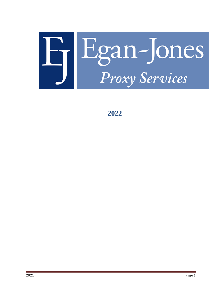

**2022**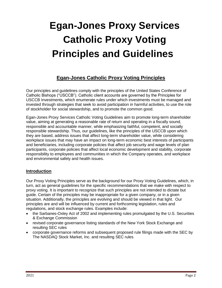# **Egan-Jones Proxy Services Catholic Proxy Voting Principles and Guidelines**

# **Egan-Jones Catholic Proxy Voting Principles**

Our principles and guidelines comply with the principles of the United States Conference of Catholic Bishops ("USCCB"). Catholic client accounts are governed by the Principles for USCCB Investments, which enumerate rules under which investments must be managed and invested through strategies that seek to avoid participation in harmful activities, to use the role of stockholder for social stewardship, and to promote the common good.

Egan-Jones Proxy Services Catholic Voting Guidelines aim to promote long-term shareholder value, aiming at generating a reasonable rate of return and operating in a fiscally sound, responsible and accountable manner, while emphasizing faithful, competent, and socially responsible stewardship. Thus, our guidelines, like the principles of the USCCB upon which they are based, address issues that affect long-term shareholder value, while considering workplace issues that may have an impact on long-term economic best interests of participants and beneficiaries, including corporate policies that affect job security and wage levels of plan participants, corporate policies that affect local economic development and stability, corporate responsibility to employees and communities in which the Company operates, and workplace and environmental safety and health issues.

# **Introduction**

Our Proxy Voting Principles serve as the background for our Proxy Voting Guidelines, which, in turn, act as general guidelines for the specific recommendations that we make with respect to proxy voting. It is important to recognize that such principles are not intended to dictate but guide. Certain of the principles may be inappropriate for a given company, or in a given situation. Additionally, the principles are evolving and should be viewed in that light. Our principles are and will be influenced by current and forthcoming legislation, rules and regulations, and stock exchange rules. Examples include:

- the Sarbanes-Oxley Act of 2002 and implementing rules promulgated by the U.S. Securities & Exchange Commission
- revised corporate governance listing standards of the New York Stock Exchange and resulting SEC rules
- corporate governance reforms and subsequent proposed rule filings made with the SEC by The NASDAQ Stock Market, Inc. and resulting SEC rules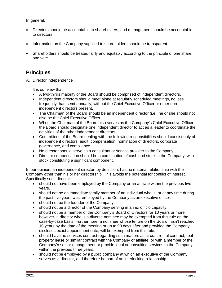In general:

- Directors should be accountable to shareholders, and management should be accountable to directors.
- Information on the Company supplied to shareholders should be transparent.
- Shareholders should be treated fairly and equitably according to the principle of one share, one vote.

# **Principles**

A. Director independence

It is our view that:

- A two-thirds majority of the Board should be comprised of independent directors.
- Independent directors should meet alone at regularly scheduled meetings, no less frequently than semi-annually, without the Chief Executive Officer or other nonindependent directors present.
- The Chairman of the Board should be an independent director (i.e., he or she should not also be the Chief Executive Officer
- When the Chairman of the Board also serves as the Company's Chief Executive Officer, the Board should designate one independent director to act as a leader to coordinate the activities of the other independent directors.
- Committees of the Board dealing with the following responsibilities should consist only of independent directors: audit, compensation, nomination of directors, corporate governance, and compliance.
- No director should serve as a consultant or service provider to the Company.
- Director compensation should be a combination of cash and stock in the Company, with stock constituting a significant component.

In our opinion, an independent director, by definition, has no material relationship with the Company other than his or her directorship. This avoids the potential for conflict of interest. Specifically such director:

- should not have been employed by the Company or an affiliate within the previous five years.
- should not be an immediate family member of an individual who is, or at any time during the past five years was, employed by the Company as an executive officer.
- should not be the founder of the Company.
- should not be a director of the Company serving in an ex officio capacity.
- should not be a member of the Company's Board of Directors for 10 years or more, however, a director who is a diverse nominee may be exempted from this rule on the case-by-case basis. Furthermore, a nominee whose tenure on the Board hasn't reached 10 years by the date of the meeting or up to 90 days after and provided the Company discloses exact appointment date, will be exempted from this rule.
- should have no services contract regarding such matters as aircraft rental contract, real property lease or similar contract with the Company or affiliate, or with a member of the Company's senior management or provide legal or consulting services to the Company within the previous three years.
- should not be employed by a public company at which an executive of the Company serves as a director, and therefore be part of an interlocking relationship.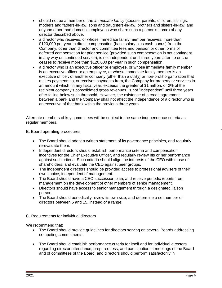- should not be a member of the *immediate family* (spouse, parents, children, siblings, mothers and fathers-in-law, sons and daughters-in-law, brothers and sisters-in-law, and anyone other than domestic employees who share such a person's home) of any director described above.
- a director who receives, or whose immediate family member receives, more than \$120,000 per year in direct compensation (base salary plus cash bonus) from the Company, other than director and committee fees and pension or other forms of deferred compensation for prior service (provided such compensation is not contingent in any way on continued service), is not independent until three years after he or she ceases to receive more than \$120,000 per year in such compensation.
- a director who is an executive officer or employee, or whose immediate family member is an executive officer or an employee, or whose immediate family member is an executive officer, of another company (other than a utility) or non-profit organization that makes payments to, or receives payments from, the Company for property or services in an amount which, in any fiscal year, exceeds the greater of \$1 million, or 2% of the recipient company's consolidated gross revenues, is not "independent" until three years after falling below such threshold. However, the existence of a credit agreement between a bank and the Company shall not affect the independence of a director who is an executive of that bank within the previous three years.

Alternate members of key committees will be subject to the same independence criteria as regular members.

# B. Board operating procedures

- The Board should adopt a written statement of its governance principles, and regularly re-evaluate them.
- Independent directors should establish performance criteria and compensation incentives for the Chief Executive Officer, and regularly review his or her performance against such criteria. Such criteria should align the interests of the CEO with those of shareholders, and evaluate the CEO against peer groups.
- The independent directors should be provided access to professional advisers of their own choice, independent of management.
- The Board should have a CEO succession plan, and receive periodic reports from management on the development of other members of senior management.
- Directors should have access to senior management through a designated liaison person.
- The Board should periodically review its own size, and determine a set number of directors between 5 and 15, instead of a range.

# C. Requirements for individual directors

We recommend that:

- The Board should provide quidelines for directors serving on several Boards addressing competing commitments.
- The Board should establish performance criteria for itself and for individual directors regarding director attendance, preparedness, and participation at meetings of the Board and of committees of the Board, and directors should perform satisfactorily in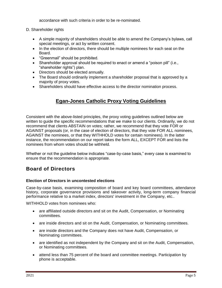accordance with such criteria in order to be re-nominated.

- D. Shareholder rights
	- A simple majority of shareholders should be able to amend the Company's bylaws, call special meetings, or act by written consent.
	- In the election of directors, there should be multiple nominees for each seat on the Board.
	- "Greenmail" should be prohibited.
	- Shareholder approval should be required to enact or amend a "poison pill" (i.e., "shareholder rights") plan.
	- Directors should be elected annually.
	- The Board should ordinarily implement a shareholder proposal that is approved by a majority of proxy votes.
	- Shareholders should have effective access to the director nomination process.

# **Egan-Jones Catholic Proxy Voting Guidelines**

Consistent with the above-listed principles, the proxy voting guidelines outlined below are written to guide the specific recommendations that we make to our clients. Ordinarily, we do not recommend that clients ABSTAIN on votes; rather, we recommend that they vote FOR or AGAINST proposals (or, in the case of election of directors, that they vote FOR ALL nominees, AGAINST the nominees, or that they WITHHOLD votes for certain nominees). In the latter instance, the recommendation on our report takes the form ALL, EXCEPT FOR and lists the nominees from whom votes should be withheld.

Whether or not the guideline below indicates "case-by-case basis," every case is examined to ensure that the recommendation is appropriate.

# **Board of Directors**

# **Election of Directors in uncontested elections**

Case-by-case basis, examining composition of board and key board committees, attendance history, corporate governance provisions and takeover activity, long-term company financial performance relative to a market index, directors' investment in the Company, etc..

WITHHOLD votes from nominees who:

- are affiliated outside directors and sit on the Audit, Compensation, or Nominating committees.
- are inside directors and sit on the Audit, Compensation, or Nominating committees.
- are inside directors and the Company does not have Audit, Compensation, or Nominating committees.
- are identified as not independent by the Company and sit on the Audit, Compensation, or Nominating committees.
- attend less than 75 percent of the board and committee meetings. Participation by phone is acceptable.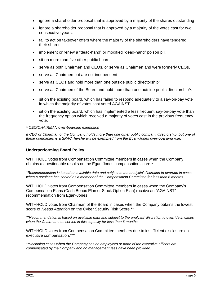- ignore a shareholder proposal that is approved by a majority of the shares outstanding.
- ignore a shareholder proposal that is approved by a majority of the votes cast for two consecutive years.
- fail to act on takeover offers where the majority of the shareholders have tendered their shares.
- implement or renew a "dead-hand" or modified "dead-hand" poison pill.
- sit on more than five other public boards.
- serve as both Chairmen and CEOs, or serve as Chairmen and were formerly CEOs.
- serve as Chairmen but are not independent.
- serve as CEOs and hold more than one outside public directorship<sup>^</sup>.
- serve as Chairmen of the Board and hold more than one outside public directorship<sup>^</sup>.
- sit on the existing board, which has failed to respond adequately to a say-on-pay vote in which the majority of votes cast voted AGAINST.
- sit on the existing board, which has implemented a less frequent say-on-pay vote than the frequency option which received a majority of votes cast in the previous frequency vote.

#### *^ CEO/CHAIRMAN over-boarding exemption*

*If CEO or Chairman of the Company holds more than one other public company directorship, but one of these companies is a SPAC, he/she will be exempted from the Egan-Jones over-boarding rule.*

#### **Underperforming Board Policy**

WITHHOLD votes from Compensation Committee members in cases when the Company obtains a questionable results on the Egan-Jones compensation score.\*

*\*Recommendation is based on available data and subject to the analysts' discretion to override in cases when a nominee has served as a member of the Compensation Committee for less than 6 months.*

WITHHOLD votes from Compensation Committee members in cases when the Company's Compensation Plans (Cash Bonus Plan or Stock Option Plan) receive an "AGAINST" recommendation from Egan-Jones.

WITHHOLD votes from Chairman of the Board in cases when the Company obtains the lowest score of *Needs Attention* on the Cyber Security Risk Score.\*\*

*\*\*Recommendation is based on available data and subject to the analysts' discretion to override in cases when the Chairman has served in this capacity for less than 6 months.*

WITHHOLD votes from Compensation Committee members due to insufficient disclosure on executive compensation.\*\*\*

*\*\*\*Including cases when the Company has no employees or none of the executive officers are compensated by the Company and no management fees have been provided.*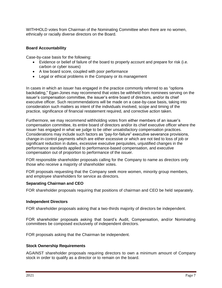WITHHOLD votes from Chairman of the Nominating Committee when there are no women, ethnically or racially diverse directors on the Board.

## **Board Accountability**

Case-by-case basis for the following:

- Evidence or belief of failure of the board to properly account and prepare for risk (i.e. carbon or cyber issues)
- A low board score, coupled with poor performance
- Legal or ethical problems in the Company or its management

In cases in which an issuer has engaged in the practice commonly referred to as "options backdating," Egan-Jones may recommend that votes be withheld from nominees serving on the issuer's compensation committee, the issuer's entire board of directors, and/or its chief executive officer. Such recommendations will be made on a case-by-case basis, taking into consideration such matters as intent of the individuals involved, scope and timing of the practice, significance of financial restatement required, and corrective action taken.

Furthermore, we may recommend withholding votes from either members of an issuer's compensation committee, its entire board of directors and/or its chief executive officer where the issuer has engaged in what we judge to be other unsatisfactory compensation practices. Considerations may include such factors as "pay-for-failure" executive severance provisions, change-in-control payments which are either excessive or which are not tied to loss of job or significant reduction in duties, excessive executive perquisites, unjustified changes in the performance standards applied to performance-based compensation, and executive compensation out of proportion to performance of the issuer.

FOR responsible shareholder proposals calling for the Company to name as directors only those who receive a majority of shareholder votes.

FOR proposals requesting that the Company seek more women, minority group members, and employee shareholders for service as directors.

#### **Separating Chairman and CEO**

FOR shareholder proposals requiring that positions of chairman and CEO be held separately.

#### **Independent Directors**

FOR shareholder proposals asking that a two-thirds majority of directors be independent.

FOR shareholder proposals asking that board's Audit, Compensation, and/or Nominating committees be composed exclusively of independent directors.

FOR proposals asking that the Chairman be independent.

#### **Stock Ownership Requirements**

AGAINST shareholder proposals requiring directors to own a minimum amount of Company stock in order to qualify as a director or to remain on the board.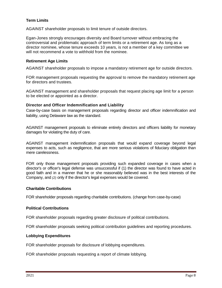# **Term Limits**

AGAINST shareholder proposals to limit tenure of outside directors.

Egan-Jones strongly encourages diversity and Board turnover without embracing the controversial and problematic approach of term limits or a retirement age. As long as a director nominee, whose tenure exceeds 10 years, is not a member of a key committee we will not recommend a vote to withhold from the nominee.

## **Retirement Age Limits**

AGAINST shareholder proposals to impose a mandatory retirement age for outside directors.

FOR management proposals requesting the approval to remove the mandatory retirement age for directors and trustees.

AGAINST management and shareholder proposals that request placing age limit for a person to be elected or appointed as a director.

# **Director and Officer Indemnification and Liability**

Case-by-case basis on management proposals regarding director and officer indemnification and liability, using Delaware law as the standard.

AGAINST management proposals to eliminate entirely directors and officers liability for monetary damages for violating the duty of care.

AGAINST management indemnification proposals that would expand coverage beyond legal expenses to acts, such as negligence, that are more serious violations of fiduciary obligation than mere carelessness.

FOR only those management proposals providing such expanded coverage in cases when a director's or officer's legal defense was unsuccessful if (1) the director was found to have acted in good faith and in a manner that he or she reasonably believed was in the best interests of the Company, and *(2)* only if the director's legal expenses would be covered.

#### **Charitable Contributions**

FOR shareholder proposals regarding charitable contributions. (change from case-by-case)

#### **Political Contributions**

FOR shareholder proposals regarding greater disclosure of political contributions.

FOR shareholder proposals seeking political contribution guidelines and reporting procedures.

#### **Lobbying Expenditures**

FOR shareholder proposals for disclosure of lobbying expenditures.

FOR shareholder proposals requesting a report of climate lobbying.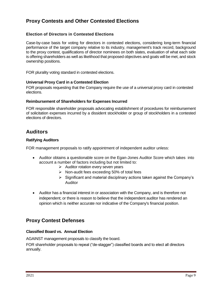# **Proxy Contests and Other Contested Elections**

# **Election of Directors in Contested Elections**

Case-by-case basis for voting for directors in contested elections, considering long-term financial performance of the target company relative to its industry, management's track record, background to the proxy contest, qualifications of director nominees on both slates, evaluation of what each side is offering shareholders as well as likelihood that proposed objectives and goals will be met, and stock ownership positions.

FOR plurality voting standard in contested elections.

#### **Universal Proxy Card in a Contested Election**

FOR proposals requesting that the Company require the use of a universal proxy card in contested elections.

#### **Reimbursement of Shareholders for Expenses Incurred**

FOR responsible shareholder proposals advocating establishment of procedures for reimbursement of solicitation expenses incurred by a dissident stockholder or group of stockholders in a contested elections of directors.

# **Auditors**

# **Ratifying Auditors**

FOR management proposals to ratify appointment of independent auditor unless:

- Auditor obtains a questionable score on the Egan-Jones Auditor Score which takes into account a number of factors including but not limited to:
	- ➢ Auditor rotation every seven years
	- ➢ Non-audit fees exceeding 50% of total fees
	- ➢ Significant and material disciplinary actions taken against the Company's Auditor
- Auditor has a financial interest in or association with the Company, and is therefore not independent; or there is reason to believe that the independent auditor has rendered an opinion which is neither accurate nor indicative of the Company's financial position.

# **Proxy Contest Defenses**

# **Classified Board vs. Annual Election**

AGAINST management proposals to classify the board.

FOR shareholder proposals to repeal ("de-stagger") classified boards and to elect all directors annually.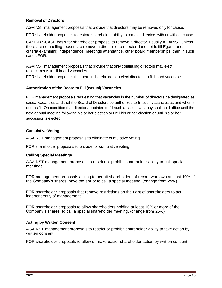# **Removal of Directors**

AGAINST management proposals that provide that directors may be removed only for cause.

FOR shareholder proposals to restore shareholder ability to remove directors with or without cause.

CASE-BY-CASE basis for shareholder proposal to remove a director, usually AGAINST unless there are compelling reasons to remove a director or a director does not fulfill Egan-Jones criteria examining independence, meetings attendance, other board memberships, then in such cases FOR.

AGAINST management proposals that provide that only continuing directors may elect replacements to fill board vacancies.

FOR shareholder proposals that permit shareholders to elect directors to fill board vacancies.

# **Authorization of the Board to Fill (casual) Vacancies**

FOR management proposals requesting that vacancies in the number of directors be designated as casual vacancies and that the Board of Directors be authorized to fill such vacancies as and when it deems fit. On condition that director appointed to fill such a casual vacancy shall hold office until the next annual meeting following his or her election or until his or her election or until his or her successor is elected.

# **Cumulative Voting**

AGAINST management proposals to eliminate cumulative voting.

FOR shareholder proposals to provide for cumulative voting.

# **Calling Special Meetings**

AGAINST management proposals to restrict or prohibit shareholder ability to call special meetings.

FOR management proposals asking to permit shareholders of record who own at least 10% of the Company's shares, have the ability to call a special meeting. (change from 25%)

FOR shareholder proposals that remove restrictions on the right of shareholders to act independently of management.

FOR shareholder proposals to allow shareholders holding at least 10% or more of the Company's shares, to call a special shareholder meeting. (change from 25%)

# **Acting by Written Consent**

AGAINST management proposals to restrict or prohibit shareholder ability to take action by written consent.

FOR shareholder proposals to allow or make easier shareholder action by written consent.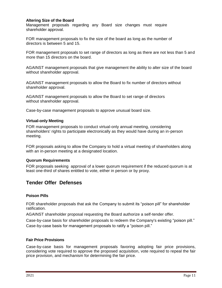# **Altering Size of the Board**

Management proposals regarding any Board size changes must require shareholder approval.

FOR management proposals to fix the size of the board as long as the number of directors is between 5 and 15.

FOR management proposals to set range of directors as long as there are not less than 5 and more than 15 directors on the board.

AGAINST management proposals that give management the ability to alter size of the board without shareholder approval.

AGAINST management proposals to allow the Board to fix number of directors without shareholder approval.

AGAINST management proposals to allow the Board to set range of directors without shareholder approval.

Case-by-case management proposals to approve unusual board size.

#### **Virtual-only Meeting**

FOR management proposals to conduct virtual-only annual meeting, considering shareholders' rights to participate electronically as they would have during an in-person meeting.

FOR proposals asking to allow the Company to hold a virtual meeting of shareholders along with an in-person meeting at a designated location.

# **Quorum Requirements**

FOR proposals seeking approval of a lower quorum requirement if the reduced quorum is at least one-third of shares entitled to vote, either in person or by proxy.

# **Tender Offer Defenses**

# **Poison Pills**

FOR shareholder proposals that ask the Company to submit its "poison pill" for shareholder ratification.

AGAINST shareholder proposal requesting the Board authorize a self-tender offer.

Case-by-case basis for shareholder proposals to redeem the Company's existing "poison pill." Case-by-case basis for management proposals to ratify a "poison pill."

#### **Fair Price Provisions**

Case-by-case basis for management proposals favoring adopting fair price provisions, considering vote required to approve the proposed acquisition, vote required to repeal the fair price provision, and mechanism for determining the fair price.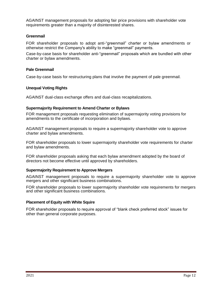AGAINST management proposals for adopting fair price provisions with shareholder vote requirements greater than a majority of disinterested shares.

# **Greenmail**

FOR shareholder proposals to adopt anti-"greenmail" charter or bylaw amendments or otherwise restrict the Company's ability to make "greenmail" payments.

Case-by-case basis for shareholder anti-"greenmail" proposals which are bundled with other charter or bylaw amendments.

#### **Pale Greenmail**

Case-by-case basis for restructuring plans that involve the payment of pale greenmail.

# **Unequal Voting Rights**

AGAINST dual-class exchange offers and dual-class recapitalizations.

#### **Supermajority Requirement to Amend Charter or Bylaws**

FOR management proposals requesting elimination of supermajority voting provisions for amendments to the certificate of incorporation and bylaws.

AGAINST management proposals to require a supermajority shareholder vote to approve charter and bylaw amendments.

FOR shareholder proposals to lower supermajority shareholder vote requirements for charter and bylaw amendments.

FOR shareholder proposals asking that each bylaw amendment adopted by the board of directors not become effective until approved by shareholders.

# **Supermajority Requirement to Approve Mergers**

AGAINST management proposals to require a supermajority shareholder vote to approve mergers and other significant business combinations.

FOR shareholder proposals to lower supermajority shareholder vote requirements for mergers and other significant business combinations.

#### **Placement of Equity with White Squire**

FOR shareholder proposals to require approval of "blank check preferred stock" issues for other than general corporate purposes.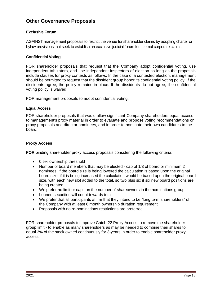# **Other Governance Proposals**

# **Exclusive Forum**

AGAINST management proposals to restrict the venue for shareholder claims by adopting charter or bylaw provisions that seek to establish an exclusive judicial forum for internal corporate claims.

# **Confidential Voting**

FOR shareholder proposals that request that the Company adopt confidential voting, use independent tabulators, and use independent inspectors of election as long as the proposals include clauses for proxy contests as follows: In the case of a contested election, management should be permitted to request that the dissident group honor its confidential voting policy. If the dissidents agree, the policy remains in place. If the dissidents do not agree, the confidential voting policy is waived.

FOR management proposals to adopt confidential voting.

#### **Equal Access**

FOR shareholder proposals that would allow significant Company shareholders equal access to management's proxy material in order to evaluate and propose voting recommendations on proxy proposals and director nominees, and in order to nominate their own candidates to the board.

## **Proxy Access**

**FOR** binding shareholder proxy access proposals considering the following criteria:

- 0.5% ownership threshold
- Number of board members that may be elected cap of 1/3 of board or minimum 2 nominees, if the board size is being lowered the calculation is based upon the original board size, if it is being increased the calculation would be based upon the original board size, with each new slot added to the total, so two plus six if six new board positions are being created
- We prefer no limit or caps on the number of shareowners in the nominations group
- Loaned securities will count towards total
- We prefer that all participants affirm that they intend to be "long term shareholders" of the Company with at least 6 month ownership duration requirement
- Proposals with no re-nominations restrictions are preferred

FOR shareholder proposals to improve Catch-22 Proxy Access to remove the shareholder group limit - to enable as many shareholders as may be needed to combine their shares to equal 3% of the stock owned continuously for 3-years in order to enable shareholder proxy access.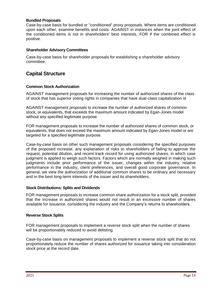## **Bundled Proposals**

Case-by-case basis for bundled or "conditioned" proxy proposals. Where items are conditioned upon each other, examine benefits and costs. AGAINST in instances when the joint effect of the conditioned items is not in shareholders' best interests. FOR if the combined effect is positive.

#### **Shareholder Advisory Committees**

Case-by-case basis for shareholder proposals for establishing a shareholder advisory committee.

# **Capital Structure**

#### **Common Stock Authorization**

AGAINST management proposals for increasing the number of authorized shares of the class of stock that has superior voting rights in companies that have dual-class capitalization st

AGAINST management proposals to increase the number of authorized shares of common stock, or equivalents, that exceeds the maximum amount indicated by Egan-Jones model without any specified legitimate purpose.

FOR management proposals to increase the number of authorized shares of common stock, or equivalents, that does not exceed the maximum amount indicated by Egan-Jones model or are targeted for a specified legitimate purpose.

Case-by-case basis on other such management proposals considering the specified purposes of the proposed increase, any explanation of risks to shareholders of failing to approve the request, potential dilution, and recent track record for using authorized shares, in which case judgment is applied to weigh such factors. Factors which are normally weighed in making such judgments include prior performance of the issuer, changes within the industry, relative performance in the industry, client preferences, and overall good corporate governance. In general, we view the authorization of additional common shares to be ordinary and necessary and in the best long-term interests of the issuer and its shareholders.

#### **Stock Distributions: Splits and Dividends**

FOR management proposals to increase common share authorization for a stock split, provided that the increase in authorized shares would not result in an excessive number of shares available for issuance, considering the industry and the Company's returns to shareholders.

#### **Reverse Stock Splits**

FOR management proposals to implement a reverse stock split when the number of shares will be proportionately reduced to avoid delisting.

Case-by-case basis on management proposals to implement a reverse stock split that do not proportionately reduce the number of shares authorized for issuance taking into consideration stock price at the record date.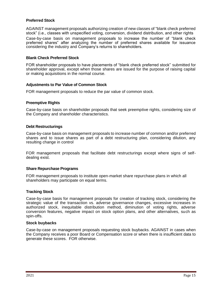# **Preferred Stock**

AGAINST management proposals authorizing creation of new classes of "blank check preferred stock" (i.e., classes with unspecified voting, conversion, dividend distribution, and other rights

Case-by-case basis on management proposals to increase the number of "blank check preferred shares" after analyzing the number of preferred shares available for issuance considering the industry and Company's returns to shareholders.

#### **Blank Check Preferred Stock**

FOR shareholder proposals to have placements of "blank check preferred stock" submitted for shareholder approval, except when those shares are issued for the purpose of raising capital or making acquisitions in the normal course.

#### **Adjustments to Par Value of Common Stock**

FOR management proposals to reduce the par value of common stock.

#### **Preemptive Rights**

Case-by-case basis on shareholder proposals that seek preemptive rights, considering size of the Company and shareholder characteristics.

#### **Debt Restructurings**

Case-by-case basis on management proposals to increase number of common and/or preferred shares and to issue shares as part of a debt restructuring plan, considering dilution, any resulting change in control

FOR management proposals that facilitate debt restructurings except where signs of selfdealing exist.

#### **Share Repurchase Programs**

FOR management proposals to institute open-market share repurchase plans in which all shareholders may participate on equal terms.

#### **Tracking Stock**

Case-by-case basis for management proposals for creation of tracking stock, considering the strategic value of the transaction vs. adverse governance changes, excessive increases in authorized stock, inequitable distribution method, diminution of voting rights, adverse conversion features, negative impact on stock option plans, and other alternatives, such as spin-offs.

#### **Stock buybacks**

Case-by-case on management proposals requesting stock buybacks. AGAINST in cases when the Company receives a poor Board or Compensation score or when there is insufficient data to generate these scores. FOR otherwise.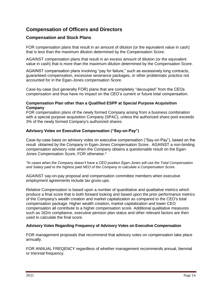# **Compensation of Officers and Directors**

# **Compensation and Stock Plans**

FOR compensation plans that result in an amount of dilution (or the equivalent value in cash) that is less than the maximum dilution determined by the Compensation Score.

AGAINST compensation plans that result in an excess amount of dilution (or the equivalent value in cash) that is more than the maximum dilution determined by the Compensation Score.

AGAINST compensation plans involving "pay for failure," such as excessively long contracts, guaranteed compensation, excessive severance packages, or other problematic practice not accounted for in the Egan-Jones compensation Score.

Case-by-case (but generally FOR) plans that are completely "decoupled" from the CEOs compensation and thus have no impact on the CEO's current or future total compensation.

# **Compensation Plan other than a Qualified ESPP at Special Purpose Acquisition Company**

FOR compensation plans of the newly formed Company arising from a business combination with a special purpose acquisition Company (SPAC), unless the authorized share pool exceeds 3% of the newly formed Company's authorized shares.

# **Advisory Votes on Executive Compensation ("Say-on-Pay")**

Case-by-case basis on advisory votes on executive compensation ("Say-on-Pay"), based on the result obtained by the Company in Egan-Jones Compensation Score. AGAINST a non-binding compensation advisory vote when the Company obtains a questionable result on the Egan-Jones Compensation Score, FOR otherwise.\*

*\*In cases when the Company doesn't have a CEO position Egan-Jones will use the Total Compensation and Salary paid to the highest paid NEO of the Company to calculate a Compensation Score.*

AGAINST say-on-pay proposal and compensation committee members when executive employment agreements include tax gross-ups.

Relative Compensation is based upon a number of quantitative and qualitative metrics which produce a final score that is both forward looking and based upon the prior performance metrics of the Company's wealth creation and market capitalization as compared to the CEO's total compensation package. Higher wealth creation, market capitalization and lower CEO compensation all contribute to a higher compensation score. Additional qualitative measures such as 162m compliance, executive pension plan status and other relevant factors are then used to calculate the final score.

# **Advisory Votes Regarding Frequency of Advisory Votes on Executive Compensation**

FOR management proposals that recommend that advisory votes on compensation take place annually.

FOR ANNUAL FREQENCY regardless of whether management recommends annual, biennial or triennial frequency.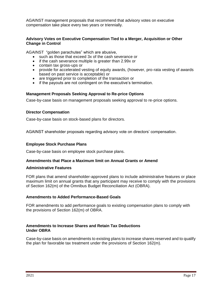AGAINST management proposals that recommend that advisory votes on executive compensation take place every two years or triennially.

## **Advisory Votes on Executive Compensation Tied to a Merger, Acquisition or Other Change in Control**

AGAINST "golden parachutes" which are abusive,

- such as those that exceed 3x of the cash severance or
- if the cash severance multiple is greater than 2.99x or
- contain tax gross-ups or
- provide for accelerated vesting of equity awards, (however, pro-rata vesting of awards based on past service is acceptable) or
- are triggered prior to completion of the transaction or
- if the payouts are not contingent on the executive's termination.

# **Management Proposals Seeking Approval to Re-price Options**

Case-by-case basis on management proposals seeking approval to re-price options.

#### **Director Compensation**

Case-by-case basis on stock-based plans for directors.

AGAINST shareholder proposals regarding advisory vote on directors' compensation.

## **Employee Stock Purchase Plans**

Case-by-case basis on employee stock purchase plans.

# **Amendments that Place a Maximum limit on Annual Grants or Amend**

#### **Administrative Features**

FOR plans that amend shareholder-approved plans to include administrative features or place maximum limit on annual grants that any participant may receive to comply with the provisions of Section 162(m) of the Omnibus Budget Reconciliation Act (OBRA).

#### **Amendments to Added Performance-Based Goals**

FOR amendments to add performance goals to existing compensation plans to comply with the provisions of Section 162(m) of OBRA.

#### **Amendments to Increase Shares and Retain Tax Deductions Under OBRA**

Case-by-case basis on amendments to existing plans to increase shares reserved and to qualify the plan for favorable tax treatment under the provisions of Section 162(m).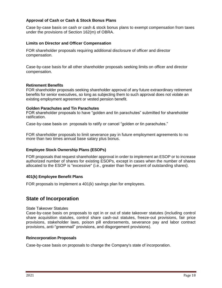# **Approval of Cash or Cash & Stock Bonus Plans**

Case by-case basis on cash or cash & stock bonus plans to exempt compensation from taxes under the provisions of Section 162(m) of OBRA.

## **Limits on Director and Officer Compensation**

FOR shareholder proposals requiring additional disclosure of officer and director compensation.

Case-by-case basis for all other shareholder proposals seeking limits on officer and director compensation.

#### **Retirement Benefits**

FOR shareholder proposals seeking shareholder approval of any future extraordinary retirement benefits for senior executives, so long as subjecting them to such approval does not violate an existing employment agreement or vested pension benefit.

#### **Golden Parachutes and Tin Parachutes**

FOR shareholder proposals to have "golden and tin parachutes" submitted for shareholder ratification.

Case-by-case basis on proposals to ratify or cancel "golden or tin parachutes."

FOR shareholder proposals to limit severance pay in future employment agreements to no more than two times annual base salary plus bonus.

# **Employee Stock Ownership Plans (ESOPs)**

FOR proposals that request shareholder approval in order to implement an ESOP or to increase authorized number of shares for existing ESOPs, except in cases when the number of shares allocated to the ESOP is "excessive" (i.e., greater than five percent of outstanding shares).

# **401(k) Employee Benefit Plans**

FOR proposals to implement a 401(k) savings plan for employees.

# **State of Incorporation**

#### State Takeover Statutes

Case-by-case basis on proposals to opt in or out of state takeover statutes (including control share acquisition statutes, control share cash-out statutes, freeze-out provisions, fair price provisions, stakeholder laws, poison pill endorsements, severance pay and labor contract provisions, anti-"greenmail" provisions, and disgorgement provisions).

#### **Reincorporation Proposals**

Case-by-case basis on proposals to change the Company's state of incorporation.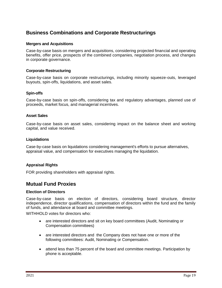# **Business Combinations and Corporate Restructurings**

## **Mergers and Acquisitions**

Case-by-case basis on mergers and acquisitions, considering projected financial and operating benefits, offer price, prospects of the combined companies, negotiation process, and changes in corporate governance.

#### **Corporate Restructuring**

Case-by-case basis on corporate restructurings, including minority squeeze-outs, leveraged buyouts, spin-offs, liquidations, and asset sales.

#### **Spin-offs**

Case-by-case basis on spin-offs, considering tax and regulatory advantages, planned use of proceeds, market focus, and managerial incentives.

#### **Asset Sales**

Case-by-case basis on asset sales, considering impact on the balance sheet and working capital, and value received.

#### **Liquidations**

Case-by-case basis on liquidations considering management's efforts to pursue alternatives, appraisal value, and compensation for executives managing the liquidation.

# **Appraisal Rights**

FOR providing shareholders with appraisal rights.

# **Mutual Fund Proxies**

#### **Election of Directors**

Case-by-case basis on election of directors, considering board structure, director independence, director qualifications, compensation of directors within the fund and the family of funds, and attendance at board and committee meetings.

WITHHOLD votes for directors who:

- are interested directors and sit on key board committees (Audit, Nominating or Compensation committees)
- are interested directors and the Company does not have one or more of the following committees: Audit, Nominating or Compensation.
- attend less than 75 percent of the board and committee meetings. Participation by phone is acceptable.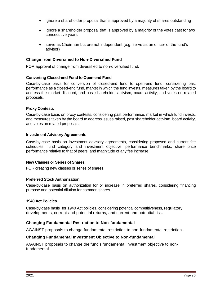- ignore a shareholder proposal that is approved by a majority of shares outstanding
- ignore a shareholder proposal that is approved by a majority of the votes cast for two consecutive years
- serve as Chairman but are not independent (e.g. serve as an officer of the fund's advisor)

## **Change from Diversified to Non-Diversified Fund**

FOR approval of change from diversified to non-diversified fund.

#### **Converting Closed-end Fund to Open-end Fund**

Case-by-case basis for conversion of closed-end fund to open-end fund, considering past performance as a closed-end fund, market in which the fund invests, measures taken by the board to address the market discount, and past shareholder activism, board activity, and votes on related proposals.

#### **Proxy Contests**

Case-by-case basis on proxy contests, considering past performance, market in which fund invests, and measures taken by the board to address issues raised, past shareholder activism, board activity, and votes on related proposals**.**

#### **Investment Advisory Agreements**

Case-by-case basis on investment advisory agreements, considering proposed and current fee schedules, fund category and investment objective, performance benchmarks, share price performance relative to that of peers; and magnitude of any fee increase.

#### **New Classes or Series of Shares**

FOR creating new classes or series of shares.

#### **Preferred Stock Authorization**

Case-by-case basis on authorization for or increase in preferred shares, considering financing purpose and potential dilution for common shares.

#### **1940 Act Policies**

Case-by-case basis for 1940 Act policies, considering potential competitiveness, regulatory developments, current and potential returns, and current and potential risk.

#### **Changing Fundamental Restriction to Non-fundamental**

AGAINST proposals to change fundamental restriction to non-fundamental restriction.

#### **Changing Fundamental Investment Objective to Non-fundamental**

AGAINST proposals to change the fund's fundamental investment objective to nonfundamental.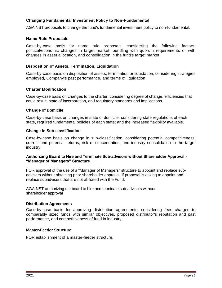# **Changing Fundamental Investment Policy to Non-Fundamental**

AGAINST proposals to change the fund's fundamental investment policy to non-fundamental.

#### **Name Rule Proposals**

Case-by-case basis for name rule proposals, considering the following factors: political/economic changes in target market; bundling with quorum requirements or with changes in asset allocation, and consolidation in the fund's target market.

#### **Disposition of Assets, Termination, Liquidation**

Case-by-case basis on disposition of assets, termination or liquidation, considering strategies employed, Company's past performance, and terms of liquidation.

## **Charter Modification**

Case-by-case basis on changes to the charter, considering degree of change, efficiencies that could result, state of incorporation, and regulatory standards and implications.

#### **Change of Domicile**

Case-by-case basis on changes in state of domicile, considering state regulations of each state, required fundamental policies of each state; and the increased flexibility available.

#### **Change in Sub-classification**

Case-by-case basis on change in sub-classification, considering potential competitiveness, current and potential returns, risk of concentration, and industry consolidation in the target industry.

#### **Authorizing Board to Hire and Terminate Sub-advisors without Shareholder Approval - "Manager of Managers" Structure**

FOR approval of the use of a "Manager of Managers" structure to appoint and replace subadvisers without obtaining prior shareholder approval, if proposal is asking to appoint and replace subadvisers that are not affiliated with the Fund.

AGAINST authorizing the board to hire and terminate sub-advisors without shareholder approval

#### **Distribution Agreements**

Case-by-case basis for approving distribution agreements, considering fees charged to comparably sized funds with similar objectives, proposed distributor's reputation and past performance, and competitiveness of fund in industry.

# **Master-Feeder Structure**

FOR establishment of a master-feeder structure.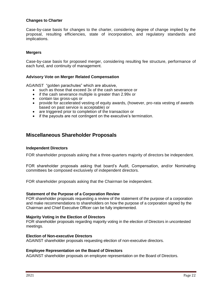## **Changes to Charter**

Case-by-case basis for changes to the charter, considering degree of change implied by the proposal, resulting efficiencies, state of incorporation, and regulatory standards and implications.

#### **Mergers**

Case-by-case basis for proposed merger, considering resulting fee structure, performance of each fund, and continuity of management.

#### **Advisory Vote on Merger Related Compensation**

AGAINST "golden parachutes" which are abusive,

- such as those that exceed 3x of the cash severance or
- if the cash severance multiple is greater than 2.99x or
- contain tax gross-ups or
- provide for accelerated vesting of equity awards, (however, pro-rata vesting of awards based on past service is acceptable) or
- are triggered prior to completion of the transaction or
- if the payouts are not contingent on the executive's termination.

# **Miscellaneous Shareholder Proposals**

#### **Independent Directors**

FOR shareholder proposals asking that a three-quarters majority of directors be independent.

FOR shareholder proposals asking that board's Audit, Compensation, and/or Nominating committees be composed exclusively of independent directors.

FOR shareholder proposals asking that the Chairman be independent.

#### **Statement of the Purpose of a Corporation Review**

FOR shareholder proposals requesting a review of the statement of the purpose of a corporation and make recommendations to shareholders on how the purpose of a corporation signed by the Chairman and Chief Executive Officer can be fully implemented.

#### **Majority Voting in the Election of Directors**

FOR shareholder proposals regarding majority voting in the election of Directors in uncontested meetings.

#### **Election of Non-executive Directors**

AGAINST shareholder proposals requesting election of non-executive directors.

#### **Employee Representation on the Board of Directors**

AGAINST shareholder proposals on employee representation on the Board of Directors.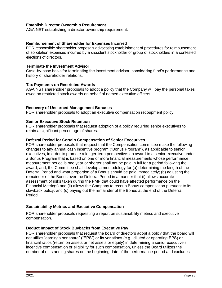# **Establish Director Ownership Requirement**

AGAINST establishing a director ownership requirement.

## **Reimbursement of Shareholder for Expenses Incurred**

FOR responsible shareholder proposals advocating establishment of procedures for reimbursement of solicitation expenses incurred by a dissident stockholder or group of stockholders in a contested elections of directors.

#### **Terminate the Investment Advisor**

Case-by-case basis for terminating the investment advisor, considering fund's performance and history of shareholder relations.

#### **Tax Payments on Restricted Awards**

AGAINST shareholder proposals to adopt a policy that the Company will pay the personal taxes owed on restricted stock awards on behalf of named executive officers.

#### **Recovery of Unearned Management Bonuses**

FOR shareholder proposals to adopt an executive compensation recoupment policy.

#### **Senior Executive Stock Retention**

FOR shareholder proposals that request adoption of a policy requiring senior executives to retain a significant percentage of shares.

#### **Deferral Period for Certain Compensation of Senior Executives**

FOR shareholder proposals that request that the Compensation committee make the following changes to any annual cash incentive program ("Bonus Program"), as applicable to senior executives, in order to promote a longer-term perspective: an award to a senior executive under a Bonus Program that is based on one or more financial measurements whose performance measurement period is one year or shorter shall not be paid in full for a period following the award; and, the Committee shall develop a methodology for (a) determining the length of the Deferral Period and what proportion of a Bonus should be paid immediately; (b) adjusting the remainder of the Bonus over the Deferral Period in a manner that (i) allows accurate assessment of risks taken during the PMP that could have affected performance on the Financial Metric(s) and (ii) allows the Company to recoup Bonus compensation pursuant to its clawback policy; and (c) paying out the remainder of the Bonus at the end of the Deferral Period.

# **Sustainability Metrics and Executive Compensation**

FOR shareholder proposals requesting a report on sustainability metrics and executive compensation.

# **Deduct Impact of Stock Buybacks from Executive Pay**

FOR shareholder proposals that request the board of directors adopt a policy that the board will not utilize "earnings per share" ("EPS") or its variations (e.g., diluted or operating EPS) or financial ratios (return on assets or net assets or equity) in determining a senior executive's incentive compensation or eligibility for such compensation, unless the Board utilizes the number of outstanding shares on the beginning date of the performance period and excludes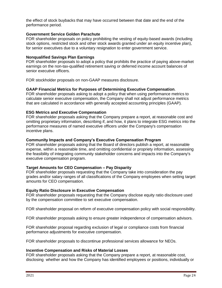the effect of stock buybacks that may have occurred between that date and the end of the performance period.

# **Government Service Golden Parachute**

FOR shareholder proposals on policy prohibiting the vesting of equity-based awards (including stock options, restricted stock and other stock awards granted under an equity incentive plan), for senior executives due to a voluntary resignation to enter government service.

#### **Nonqualified Savings Plan Earnings**

FOR shareholder proposals to adopt a policy that prohibits the practice of paying above-market earnings on the non-tax-qualified retirement saving or deferred income account balances of senior executive officers.

FOR stockholder proposals on non-GAAP measures disclosure.

# **GAAP Financial Metrics for Purposes of Determining Executive Compensation**.

FOR shareholder proposals asking to adopt a policy that when using performance metrics to calculate senior executive compensation, the Company shall not adjust performance metrics that are calculated in accordance with generally accepted accounting principles (GAAP).

#### **ESG Metrics and Executive Compensation**

FOR shareholder proposals asking that the Company prepare a report, at reasonable cost and omitting proprietary information, describing if, and how, it plans to integrate ESG metrics into the performance measures of named executive officers under the Company's compensation incentive plans.

#### **Community Impacts and Company's Executive Compensation Program**

FOR shareholder proposals asking that the Board of directors publish a report, at reasonable expense, within a reasonable time, and omitting confidential or propriety information, assessing the feasibility of integrating community stakeholder concerns and impacts into the Company's executive compensation program.

#### **Target Amounts for CEO Compensation – Pay Disparity**

FOR shareholder proposals requesting that the Company take into consideration the pay grades and/or salary ranges of all classifications of the Company employees when setting target amounts for CEO compensation.

#### **Equity Ratio Disclosure in Executive Compensation**

FOR shareholder proposals requesting that the Company disclose equity ratio disclosure used by the compensation committee to set executive compensation.

FOR shareholder proposal on reform of executive compensation policy with social responsibility.

FOR shareholder proposals asking to ensure greater independence of compensation advisors.

FOR shareholder proposal regarding exclusion of legal or compliance costs from financial performance adjustments for executive compensation.

FOR shareholder proposals to discontinue professional services allowance for NEOs.

#### **Incentive Compensation and Risks of Material Losses**

FOR shareholder proposals asking that the Company prepare a report, at reasonable cost, disclosing whether and how the Company has identified employees or positions, individually or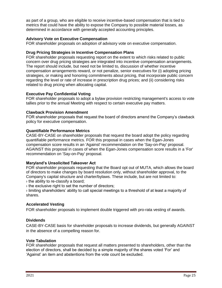as part of a group, who are eligible to receive incentive-based compensation that is tied to metrics that could have the ability to expose the Company to possible material losses, as determined in accordance with generally accepted accounting principles.

# **Advisory Vote on Executive Compensation**

FOR shareholder proposals on adoption of advisory vote on executive compensation.

# **Drug Pricing Strategies in Incentive Compensation Plans**

FOR shareholder proposals requesting report on the extent to which risks related to public concern over drug pricing strategies are integrated into incentive compensation arrangements. The report should include, but need not be limited to, discussion of whether incentive compensation arrangements reward, or not penalize, senior executives for (i) adopting pricing strategies, or making and honoring commitments about pricing, that incorporate public concern regarding the level or rate of increase in prescription drug prices; and (ii) considering risks related to drug pricing when allocating capital.

# **Executive Pay Confidential Voting**

FOR shareholder proposals to adopt a bylaw provision restricting management's access to vote tallies prior to the annual Meeting with respect to certain executive pay matters.

# **Clawback Provision Amendment**

FOR shareholder proposals that request the board of directors amend the Company's clawback policy for executive compensation.

# **Quantifiable Performance Metrics**

CASE-BY-CASE on shareholder proposals that request the board adopt the policy regarding quantifiable performance metrics. FOR this proposal in cases when the Egan-Jones compensation score results in an 'Against' recommendation on the 'Say-on-Pay' proposal. AGAINST this proposal in cases of when the Egan-Jones compensation score results in a 'For' recommendation on 'Say-on-Pay' proposal.

# **Maryland's Unsolicited Takeover Act**

FOR shareholder proposals requesting that the Board opt out of MUTA, which allows the board of directors to make changes by board resolution only, without shareholder approval, to the Company's capital structure and charter/bylaws. These include, but are not limited to:

› the ability to re-classify a board;

› the exclusive right to set the number of directors;

› limiting shareholders' ability to call special meetings to a threshold of at least a majority of shares.

# **Accelerated Vesting**

FOR shareholder proposals to implement double triggered with pro-rata vesting of awards.

# **Dividends**

CASE-BY-CASE basis for shareholder proposals to increase dividends, but generally AGAINST in the absence of a compelling reason for.

# **Vote Tabulation**

FOR shareholder proposals that request all matters presented to shareholders, other than the election of directors, shall be decided by a simple majority of the shares voted 'For' and 'Against' an item and abstentions from the vote count be excluded.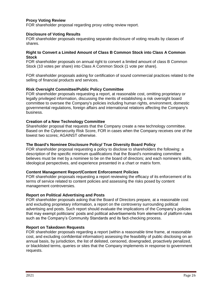# **Proxy Voting Review**

FOR shareholder proposal regarding proxy voting review report.

## **Disclosure of Voting Results**

FOR shareholder proposals requesting separate disclosure of voting results by classes of shares.

#### **Right to Convert a Limited Amount of Class B Common Stock into Class A Common Stock**

FOR shareholder proposals on annual right to convert a limited amount of class B Common Stock (10 votes per share) into Class A Common Stock (1 vote per share).

FOR shareholder proposals asking for certification of sound commercial practices related to the selling of financial products and services.

# **Risk Oversight Committee/Public Policy Committee**

FOR shareholder proposals requesting a report, at reasonable cost, omitting proprietary or legally privileged information, discussing the merits of establishing a risk oversight board committee to oversee the Company's policies including human rights, environment, domestic governmental regulations, foreign affairs and international relations affecting the Company's business.

#### **Creation of a New Technology Committee**

Shareholder proposal that requests that the Company create a new technology committee. Based on the Cybersecurity Risk Score, FOR in cases when the Company receives one of the lowest two scores; AGAINST otherwise.

#### **The Board's Nominee Disclosure Policy/ True Diversity Board Policy**

FOR shareholder proposal requesting a policy to disclose to shareholders the following: a description of the specific minimum qualifications that the Board's nominating committee believes must be met by a nominee to be on the board of directors; and each nominee's skills, ideological perspectives, and experience presented in a chart or matrix form.

#### **Content Management Report/Content Enforcement Policies**

FOR shareholder proposals requesting a report reviewing the efficacy of its enforcement of its terms of service related to content policies and assessing the risks posed by content management controversies.

#### **Report on Political Advertising and Posts**

FOR shareholder proposals asking that the Board of Directors prepare, at a reasonable cost and excluding proprietary information, a report on the controversy surrounding political advertising and posts. Such report should evaluate the implications of the Company's policies that may exempt politicians' posts and political advertisements from elements of platform rules such as the Company's Community Standards and its fact-checking process.

#### **Report on Takedown Requests**

FOR shareholder proposals regarding a report (within a reasonable time frame, at reasonable cost, and excluding confidential information) assessing the feasibility of public disclosing on an annual basis, by jurisdiction, the list of delisted, censored, downgraded, proactively penalized, or blacklisted terms, queries or sites that the Company implements in response to government requests.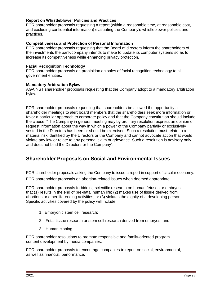## **Report on Whistleblower Policies and Practices**

FOR shareholder proposals requesting a report (within a reasonable time, at reasonable cost, and excluding confidential information) evaluating the Company's whistleblower policies and practices.

#### **Competitiveness and Protection of Personal Information**

FOR shareholder proposals requesting that the Board of directors inform the shareholders of the investments the bank/company intends to make to update its computer systems so as to increase its competitiveness while enhancing privacy protection.

#### **Facial Recognition Technology**

FOR shareholder proposals on prohibition on sales of facial recognition technology to all government entities.

#### **Mandatory Arbitration Bylaw**

AGAINST shareholder proposals requesting that the Company adopt to a mandatory arbitration bylaw.

FOR shareholder proposals requesting that shareholders be allowed the opportunity at shareholder meetings to alert board members that the shareholders seek more information or favor a particular approach to corporate policy and that the Company constitution should include the clause: "The Company in general meeting may by ordinary resolution express an opinion or request information about the way in which a power of the Company partially or exclusively vested in the Directors has been or should be exercised. Such a resolution must relate to a material risk identified by the Directors or the Company and cannot advocate action that would violate any law or relate to any personal claim or grievance. Such a resolution is advisory only and does not bind the Directors or the Company".

# **Shareholder Proposals on Social and Environmental Issues**

FOR shareholder proposals asking the Company to issue a report in support of circular economy.

FOR shareholder proposals on abortion-related issues when deemed appropriate.

FOR shareholder proposals forbidding scientific research on human fetuses or embryos that (1) results in the end of pre-natal human life; (2) makes use of tissue derived from abortions or other life-ending activities; or (3) violates the dignity of a developing person. Specific activities covered by the policy will include:

- 1. Embryonic stem cell research;
- 2. Fetal tissue research or stem cell research derived from embryos; and
- 3. Human cloning.

FOR shareholder resolutions to promote responsible and family-oriented program content development by media companies.

FOR shareholder proposals to encourage companies to report on social, environmental, as well as financial, performance.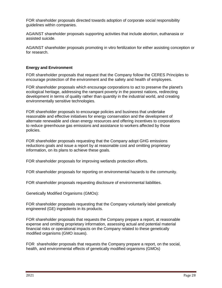FOR shareholder proposals directed towards adoption of corporate social responsibility guidelines within companies.

AGAINST shareholder proposals supporting activities that include abortion, euthanasia or assisted suicide.

AGAINST shareholder proposals promoting in vitro fertilization for either assisting conception or for research.

#### **Energy and Environment**

FOR shareholder proposals that request that the Company follow the CERES Principles to encourage protection of the environment and the safety and health of employees.

FOR shareholder proposals which encourage corporations to act to preserve the planet's ecological heritage, addressing the rampant poverty in the poorest nations, redirecting development in terms of quality rather than quantity in the industrial world, and creating environmentally sensitive technologies.

FOR shareholder proposals to encourage policies and business that undertake reasonable and effective initiatives for energy conservation and the development of alternate renewable and clean energy resources and offering incentives to corporations to reduce greenhouse gas emissions and assistance to workers affected by those policies.

FOR shareholder proposals requesting that the Company adopt GHG emissions reductions goals and issue a report by at reasonable cost and omitting proprietary information, on its plans to achieve these goals.

FOR shareholder proposals for improving wetlands protection efforts.

FOR shareholder proposals for reporting on environmental hazards to the community.

FOR shareholder proposals requesting disclosure of environmental liabilities.

Genetically Modified Organisms (GMOs):

FOR shareholder proposals requesting that the Company voluntarily label genetically engineered (GE) ingredients in its products.

FOR shareholder proposals that requests the Company prepare a report, at reasonable expense and omitting proprietary information, assessing actual and potential material financial risks or operational impacts on the Company related to these genetically modified organisms (GMO issues).

FOR shareholder proposals that requests the Company prepare a report, on the social, health, and environmental effects of genetically modified organisms (GMOs)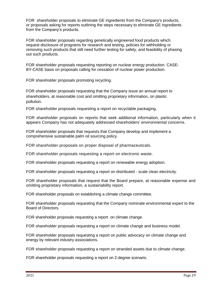FOR shareholder proposals to eliminate GE ingredients from the Company's products, or proposals asking for reports outlining the steps necessary to eliminate GE ingredients from the Company's products.

FOR shareholder proposals regarding genetically engineered food products which request disclosure of programs for research and testing, policies for withholding or removing such products that still need further testing for safety, and feasibility of phasing out such products.

FOR shareholder proposals requesting reporting on nuclear energy production. CASE-BY-CASE basis on proposals calling for cessation of nuclear power production.

FOR shareholder proposals promoting recycling.

FOR shareholder proposals requesting that the Company issue an annual report to shareholders, at reasonable cost and omitting proprietary information, on plastic pollution.

FOR shareholder proposals requesting a report on recyclable packaging.

FOR shareholder proposals on reports that seek additional information, particularly when it appears Company has not adequately addressed shareholders' environmental concerns.

FOR shareholder proposals that requests that Company develop and implement a comprehensive sustainable palm oil sourcing policy.

FOR shareholder proposals on proper disposal of pharmaceuticals.

FOR shareholder proposals requesting a report on electronic waste.

FOR shareholder proposals requesting a report on renewable energy adoption.

FOR shareholder proposals requesting a report on distributed - scale clean electricity.

FOR shareholder proposals that request that the Board prepare, at reasonable expense and omitting proprietary information, a sustainability report.

FOR shareholder proposals on establishing a climate change committee.

FOR shareholder proposals requesting that the Company nominate environmental expert to the Board of Directors.

FOR shareholder proposals requesting a report on climate change.

FOR shareholder proposals requesting a report on climate change and business model.

FOR shareholder proposals requesting a report on public advocacy on climate change and energy by relevant industry associations.

FOR shareholder proposals requesting a report on stranded assets due to climate change.

FOR shareholder proposals requesting a report on 2-degree scenario.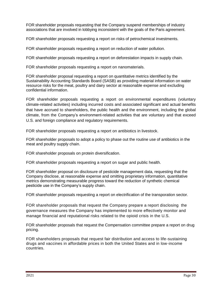FOR shareholder proposals requesting that the Company suspend memberships of industry associations that are involved in lobbying inconsistent with the goals of the Paris agreement.

FOR shareholder proposals requesting a report on risks of petrochemical investments.

FOR shareholder proposals requesting a report on reduction of water pollution.

FOR shareholder proposals requesting a report on deforestation impacts in supply chain.

FOR shareholder proposals requesting a report on nanomaterials.

FOR shareholder proposal requesting a report on quantitative metrics identified by the Sustainability Accounting Standards Board (SASB) as providing material information on water resource risks for the meat, poultry and dairy sector at reasonable expense and excluding confidential information.

FOR shareholder proposals requesting a report on environmental expenditures (voluntary climate-related activities) including incurred costs and associated significant and actual benefits that have accrued to shareholders, the public health and the environment, including the global climate, from the Company's environment-related activities that are voluntary and that exceed U.S. and foreign compliance and regulatory requirements.

FOR shareholder proposals requesting a report on antibiotics in livestock.

FOR shareholder proposals to adopt a policy to phase out the routine use of antibiotics in the meat and poultry supply chain.

FOR shareholder proposals on protein diversification.

FOR shareholder proposals requesting a report on sugar and public health.

FOR shareholder proposal on disclosure of pesticide management data, requesting that the Company disclose, at reasonable expense and omitting proprietary information, quantitative metrics demonstrating measurable progress toward the reduction of synthetic chemical pesticide use in the Company's supply chain.

FOR shareholder proposals requesting a report on electrification of the transporation sector.

FOR shareholder proposals that request the Company prepare a report disclosing the governance measures the Company has implemented to more effectively monitor and manage financial and reputational risks related to the opioid crisis in the U.S.

FOR shareholder proposals that request the Compensation committee prepare a report on drug pricing.

FOR shareholders proposals that request fair distribution and access to life-sustaining drugs and vaccines in affordable prices in both the United States and in low-income countries.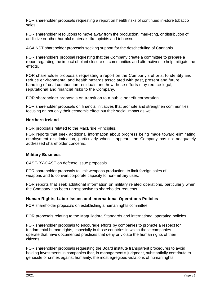FOR shareholder proposals requesting a report on health risks of continued in-store tobacco sales.

FOR shareholder resolutions to move away from the production, marketing, or distribution of addictive or other harmful materials like opioids and tobacco.

AGAINST shareholder proposals seeking support for the descheduling of Cannabis.

FOR shareholders proposal requesting that the Company create a committee to prepare a report regarding the impact of plant closure on communities and alternatives to help mitigate the effects.

FOR shareholder proposals requesting a report on the Company's efforts, to identify and reduce environmental and health hazards associated with past, present and future handling of coal combustion residuals and how those efforts may reduce legal, reputational and financial risks to the Company.

FOR shareholder proposals on transition to a public benefit corporation.

FOR shareholder proposals on financial initiatives that promote and strengthen communities, focusing on not only their economic effect but their social impact as well.

# **Northern Ireland**

FOR proposals related to the MacBride Principles.

FOR reports that seek additional information about progress being made toward eliminating employment discrimination, particularly when it appears the Company has not adequately addressed shareholder concerns.

# **Military Business**

CASE-BY-CASE on defense issue proposals.

FOR shareholder proposals to limit weapons production, to limit foreign sales of weapons and to convert corporate capacity to non-military uses.

FOR reports that seek additional information on military related operations, particularly when the Company has been unresponsive to shareholder requests.

# **Human Rights, Labor Issues and International Operations Policies**

FOR shareholder proposals on establishing a human rights committee.

FOR proposals relating to the Maquiladora Standards and international operating policies.

FOR shareholder proposals to encourage efforts by companies to promote a respect for fundamental human rights, especially in those countries in which these companies operate that have documented practices that deny or violate the human rights of their citizens.

FOR shareholder proposals requesting the Board institute transparent procedures to avoid holding investments in companies that, in management's judgment, substantially contribute to genocide or crimes against humanity, the most egregious violations of human rights.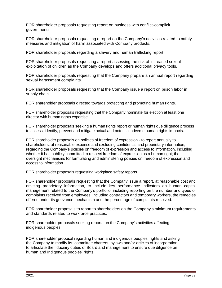FOR shareholder proposals requesting report on business with conflict-complicit governments.

FOR shareholder proposals requesting a report on the Company's activities related to safety measures and mitigation of harm associated with Company products.

FOR shareholder proposals regarding a slavery and human trafficking report.

FOR shareholder proposals requesting a report assessing the risk of increased sexual exploitation of children as the Company develops and offers additional privacy tools.

FOR shareholder proposals requesting that the Company prepare an annual report regarding sexual harassment complaints.

FOR shareholder proposals requesting that the Company issue a report on prison labor in supply chain.

FOR shareholder proposals directed towards protecting and promoting human rights.

FOR shareholder proposals requesting that the Company nominate for election at least one director with human rights expertise.

FOR shareholder proposals seeking a human rights report or human rights due diligence process to assess, identify, prevent and mitigate actual and potential adverse human rights impacts.

FOR shareholder proposals on policies of freedom of expression - to report annually to shareholders, at reasonable expense and excluding confidential and proprietary information, regarding the Company's policies on freedom of expression and access to information, including whether it has publicly committed to respect freedom of expression as a human right; the oversight mechanisms for formulating and administering policies on freedom of expression and access to information.

FOR shareholder proposals requesting workplace safety reports.

FOR shareholder proposals requesting that the Company issue a report, at reasonable cost and omitting proprietary information, to include key performance indicators on human capital management related to the Company's portfolio, including reporting on the number and types of complaints received from employees, including contractors and temporary workers, the remedies offered under its grievance mechanism and the percentage of complaints resolved.

FOR shareholder proposals to report to shareholders on the Company's minimum requirements and standards related to workforce practices.

FOR shareholder proposals seeking reports on the Company's activities affecting indigenous peoples.

FOR shareholder proposal regarding human and indigenous peoples' rights and asking the Company to modify its committee charters, bylaws and/or articles of incorporation, to articulate the fiduciary duties of Board and management to ensure due diligence on human and Indigenous peoples' rights.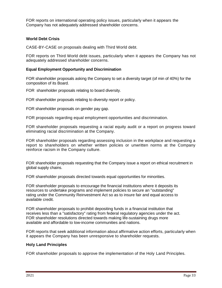FOR reports on international operating policy issues, particularly when it appears the Company has not adequately addressed shareholder concerns.

# **World Debt Crisis**

CASE-BY-CASE on proposals dealing with Third World debt.

FOR reports on Third World debt issues, particularly when it appears the Company has not adequately addressed shareholder concerns.

## **Equal Employment Opportunity and Discrimination**

FOR shareholder proposals asking the Company to set a diversity target (of min of 40%) for the composition of its Board.

FOR shareholder proposals relating to board diversity.

FOR shareholder proposals relating to diversity report or policy.

FOR shareholder proposals on gender pay gap.

FOR proposals regarding equal employment opportunities and discrimination.

FOR shareholder proposals requesting a racial equity audit or a report on progress toward eliminating racial discrimination at the Company.

FOR shareholder proposals regarding assessing inclusion in the workplace and requesting a report to shareholders on whether written policies or unwritten norms at the Company reinforce racism in the Company culture.

FOR shareholder proposals requesting that the Company issue a report on ethical recruitment in global supply chains.

FOR shareholder proposals directed towards equal opportunities for minorities.

FOR shareholder proposals to encourage the financial institutions where it deposits its resources to undertake programs and implement policies to secure an "outstanding" rating under the Community Reinvestment Act so as to insure fair and equal access to available credit.

FOR shareholder proposals to prohibit depositing funds in a financial institution that receives less than a "satisfactory" rating from federal regulatory agencies under the act. FOR shareholder resolutions directed towards making life-sustaining drugs more available and affordable to low-income communities and nations.

FOR reports that seek additional information about affirmative action efforts, particularly when it appears the Company has been unresponsive to shareholder requests.

#### **Holy Land Principles**

FOR shareholder proposals to approve the implementation of the Holy Land Principles.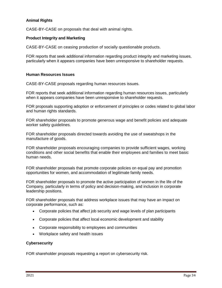# **Animal Rights**

CASE-BY-CASE on proposals that deal with animal rights.

#### **Product Integrity and Marketing**

CASE-BY-CASE on ceasing production of socially questionable products.

FOR reports that seek additional information regarding product integrity and marketing issues, particularly when it appears companies have been unresponsive to shareholder requests.

#### **Human Resources Issues**

CASE-BY-CASE proposals regarding human resources issues.

FOR reports that seek additional information regarding human resources issues, particularly when it appears companies have been unresponsive to shareholder requests.

FOR proposals supporting adoption or enforcement of principles or codes related to global labor and human rights standards.

FOR shareholder proposals to promote generous wage and benefit policies and adequate worker safety guidelines.

FOR shareholder proposals directed towards avoiding the use of sweatshops in the manufacture of goods.

FOR shareholder proposals encouraging companies to provide sufficient wages, working conditions and other social benefits that enable their employees and families to meet basic human needs.

FOR shareholder proposals that promote corporate policies on equal pay and promotion opportunities for women, and accommodation of legitimate family needs.

FOR shareholder proposals to promote the active participation of women in the life of the Company, particularly in terms of policy and decision-making, and inclusion in corporate leadership positions.

FOR shareholder proposals that address workplace issues that may have an impact on corporate performance, such as:

- Corporate policies that affect job security and wage levels of plan participants
- Corporate policies that affect local economic development and stability
- Corporate responsibility to employees and communities
- Workplace safety and health issues

#### **Cybersecurity**

FOR shareholder proposals requesting a report on cybersecurity risk.